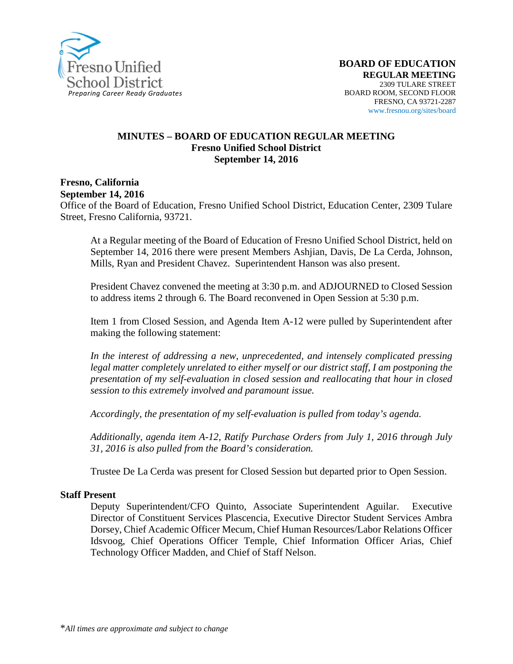

#### **MINUTES – BOARD OF EDUCATION REGULAR MEETING Fresno Unified School District September 14, 2016**

#### **Fresno, California September 14, 2016**

Office of the Board of Education, Fresno Unified School District, Education Center, 2309 Tulare Street, Fresno California, 93721.

At a Regular meeting of the Board of Education of Fresno Unified School District, held on September 14, 2016 there were present Members Ashjian, Davis, De La Cerda, Johnson, Mills, Ryan and President Chavez. Superintendent Hanson was also present.

President Chavez convened the meeting at 3:30 p.m. and ADJOURNED to Closed Session to address items 2 through 6. The Board reconvened in Open Session at 5:30 p.m.

Item 1 from Closed Session, and Agenda Item A-12 were pulled by Superintendent after making the following statement:

*In the interest of addressing a new, unprecedented, and intensely complicated pressing legal matter completely unrelated to either myself or our district staff, I am postponing the presentation of my self-evaluation in closed session and reallocating that hour in closed session to this extremely involved and paramount issue.*

*Accordingly, the presentation of my self-evaluation is pulled from today's agenda.*

*Additionally, agenda item A-12, Ratify Purchase Orders from July 1, 2016 through July 31, 2016 is also pulled from the Board's consideration.*

Trustee De La Cerda was present for Closed Session but departed prior to Open Session.

#### **Staff Present**

Deputy Superintendent/CFO Quinto, Associate Superintendent Aguilar. Executive Director of Constituent Services Plascencia, Executive Director Student Services Ambra Dorsey, Chief Academic Officer Mecum, Chief Human Resources/Labor Relations Officer Idsvoog, Chief Operations Officer Temple, Chief Information Officer Arias, Chief Technology Officer Madden, and Chief of Staff Nelson.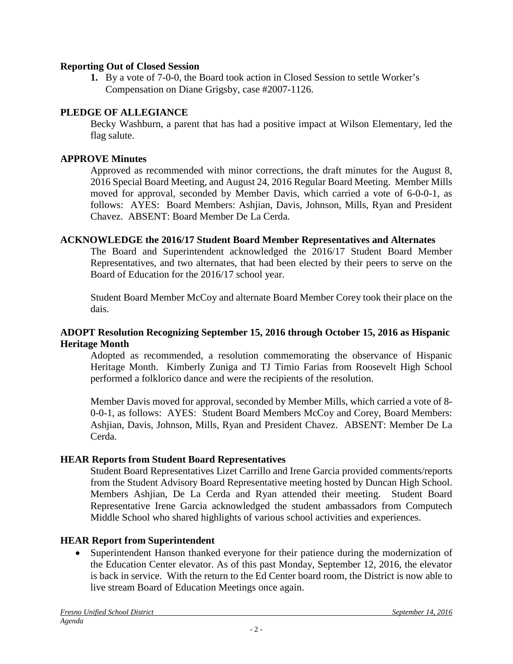### **Reporting Out of Closed Session**

**1.** By a vote of 7-0-0, the Board took action in Closed Session to settle Worker's Compensation on Diane Grigsby, case #2007-1126.

### **PLEDGE OF ALLEGIANCE**

Becky Washburn, a parent that has had a positive impact at Wilson Elementary, led the flag salute.

### **APPROVE Minutes**

Approved as recommended with minor corrections, the draft minutes for the August 8, 2016 Special Board Meeting, and August 24, 2016 Regular Board Meeting. Member Mills moved for approval, seconded by Member Davis, which carried a vote of 6-0-0-1, as follows: AYES: Board Members: Ashjian, Davis, Johnson, Mills, Ryan and President Chavez. ABSENT: Board Member De La Cerda.

### **ACKNOWLEDGE the 2016/17 Student Board Member Representatives and Alternates**

The Board and Superintendent acknowledged the 2016/17 Student Board Member Representatives, and two alternates, that had been elected by their peers to serve on the Board of Education for the 2016/17 school year.

Student Board Member McCoy and alternate Board Member Corey took their place on the dais.

### **ADOPT Resolution Recognizing September 15, 2016 through October 15, 2016 as Hispanic Heritage Month**

Adopted as recommended, a resolution commemorating the observance of Hispanic Heritage Month. Kimberly Zuniga and TJ Timio Farias from Roosevelt High School performed a folklorico dance and were the recipients of the resolution.

Member Davis moved for approval, seconded by Member Mills, which carried a vote of 8- 0-0-1, as follows: AYES: Student Board Members McCoy and Corey, Board Members: Ashjian, Davis, Johnson, Mills, Ryan and President Chavez. ABSENT: Member De La Cerda.

### **HEAR Reports from Student Board Representatives**

Student Board Representatives Lizet Carrillo and Irene Garcia provided comments/reports from the Student Advisory Board Representative meeting hosted by Duncan High School. Members Ashjian, De La Cerda and Ryan attended their meeting. Student Board Representative Irene Garcia acknowledged the student ambassadors from Computech Middle School who shared highlights of various school activities and experiences.

# **HEAR Report from Superintendent**

• Superintendent Hanson thanked everyone for their patience during the modernization of the Education Center elevator. As of this past Monday, September 12, 2016, the elevator is back in service. With the return to the Ed Center board room, the District is now able to live stream Board of Education Meetings once again.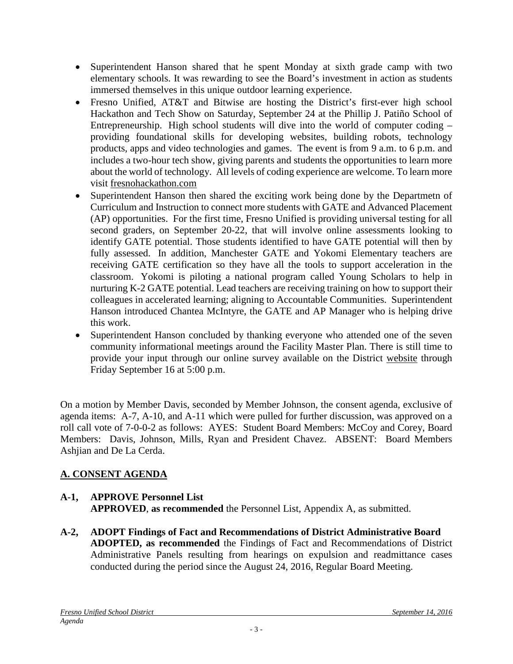- Superintendent Hanson shared that he spent Monday at sixth grade camp with two elementary schools. It was rewarding to see the Board's investment in action as students immersed themselves in this unique outdoor learning experience.
- Fresno Unified, AT&T and Bitwise are hosting the District's first-ever high school Hackathon and Tech Show on Saturday, September 24 at the Phillip J. Patiño School of Entrepreneurship. High school students will dive into the world of computer coding – providing foundational skills for developing websites, building robots, technology products, apps and video technologies and games. The event is from 9 a.m. to 6 p.m. and includes a two-hour tech show, giving parents and students the opportunities to learn more about the world of technology. All levels of coding experience are welcome. To learn more visit [fresnohackathon.com](http://www.fresnohackathon.com/)
- Superintendent Hanson then shared the exciting work being done by the Departmetn of Curriculum and Instruction to connect more students with GATE and Advanced Placement (AP) opportunities. For the first time, Fresno Unified is providing universal testing for all second graders, on September 20-22, that will involve online assessments looking to identify GATE potential. Those students identified to have GATE potential will then by fully assessed. In addition, Manchester GATE and Yokomi Elementary teachers are receiving GATE certification so they have all the tools to support acceleration in the classroom. Yokomi is piloting a national program called Young Scholars to help in nurturing K-2 GATE potential. Lead teachers are receiving training on how to support their colleagues in accelerated learning; aligning to Accountable Communities. Superintendent Hanson introduced Chantea McIntyre, the GATE and AP Manager who is helping drive this work.
- Superintendent Hanson concluded by thanking everyone who attended one of the seven community informational meetings around the Facility Master Plan. There is still time to provide your input through our online survey available on the District [website](https://www.fresnounified.org/Pages/Facility-Master-Plan-Update-Meetings-Scheduled.aspx#.V9nfcWbn_IW) through Friday September 16 at 5:00 p.m.

On a motion by Member Davis, seconded by Member Johnson, the consent agenda, exclusive of agenda items: A-7, A-10, and A-11 which were pulled for further discussion, was approved on a roll call vote of 7-0-0-2 as follows: AYES: Student Board Members: McCoy and Corey, Board Members: Davis, Johnson, Mills, Ryan and President Chavez. ABSENT: Board Members Ashjian and De La Cerda.

# **A. CONSENT AGENDA**

# **A-1, APPROVE Personnel List**

**APPROVED**, **as recommended** the Personnel List, Appendix A, as submitted.

**A-2, ADOPT Findings of Fact and Recommendations of District Administrative Board ADOPTED, as recommended** the Findings of Fact and Recommendations of District Administrative Panels resulting from hearings on expulsion and readmittance cases conducted during the period since the August 24, 2016, Regular Board Meeting.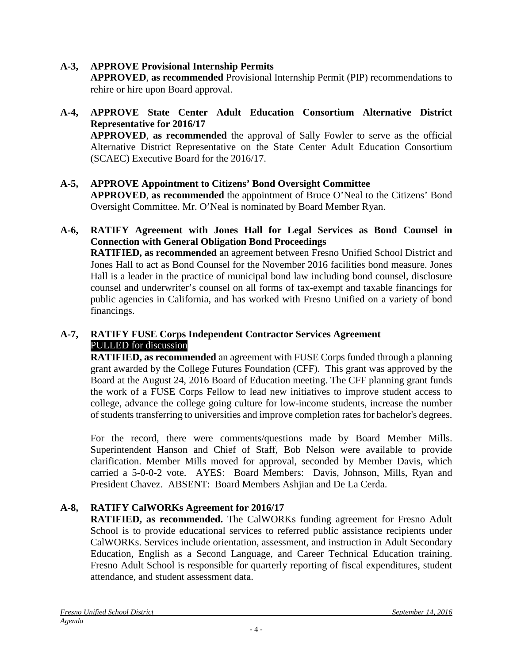## **A-3, APPROVE Provisional Internship Permits**

**APPROVED**, **as recommended** Provisional Internship Permit (PIP) recommendations to rehire or hire upon Board approval.

# **A-4, APPROVE State Center Adult Education Consortium Alternative District Representative for 2016/17**

**APPROVED**, **as recommended** the approval of Sally Fowler to serve as the official Alternative District Representative on the State Center Adult Education Consortium (SCAEC) Executive Board for the 2016/17.

### **A-5, APPROVE Appointment to Citizens' Bond Oversight Committee**

**APPROVED**, **as recommended** the appointment of Bruce O'Neal to the Citizens' Bond Oversight Committee. Mr. O'Neal is nominated by Board Member Ryan.

### **A-6, RATIFY Agreement with Jones Hall for Legal Services as Bond Counsel in Connection with General Obligation Bond Proceedings**

**RATIFIED, as recommended** an agreement between Fresno Unified School District and Jones Hall to act as Bond Counsel for the November 2016 facilities bond measure. Jones Hall is a leader in the practice of municipal bond law including bond counsel, disclosure counsel and underwriter's counsel on all forms of tax-exempt and taxable financings for public agencies in California, and has worked with Fresno Unified on a variety of bond financings.

### **A-7, RATIFY FUSE Corps Independent Contractor Services Agreement** PULLED for discussion

**RATIFIED, as recommended** an agreement with FUSE Corps funded through a planning grant awarded by the College Futures Foundation (CFF). This grant was approved by the Board at the August 24, 2016 Board of Education meeting. The CFF planning grant funds the work of a FUSE Corps Fellow to lead new initiatives to improve student access to college, advance the college going culture for low-income students, increase the number of students transferring to universities and improve completion rates for bachelor's degrees.

For the record, there were comments/questions made by Board Member Mills. Superintendent Hanson and Chief of Staff, Bob Nelson were available to provide clarification. Member Mills moved for approval, seconded by Member Davis, which carried a 5-0-0-2 vote. AYES: Board Members: Davis, Johnson, Mills, Ryan and President Chavez. ABSENT: Board Members Ashjian and De La Cerda.

# **A-8, RATIFY CalWORKs Agreement for 2016/17**

**RATIFIED, as recommended.** The CalWORKs funding agreement for Fresno Adult School is to provide educational services to referred public assistance recipients under CalWORKs. Services include orientation, assessment, and instruction in Adult Secondary Education, English as a Second Language, and Career Technical Education training. Fresno Adult School is responsible for quarterly reporting of fiscal expenditures, student attendance, and student assessment data.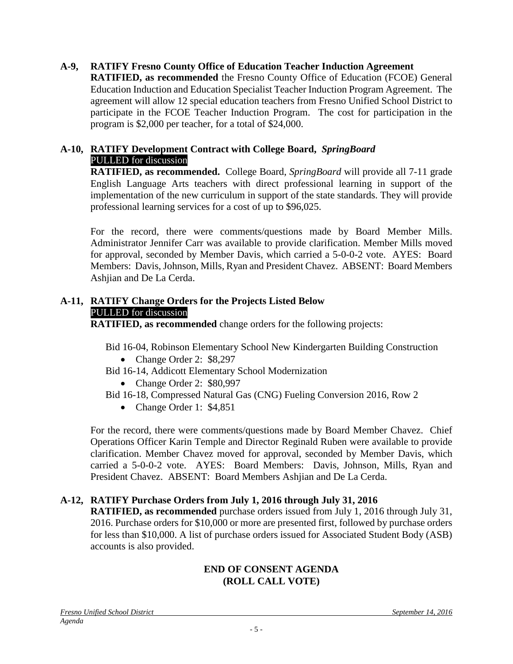### **A-9, RATIFY Fresno County Office of Education Teacher Induction Agreement**

**RATIFIED, as recommended** the Fresno County Office of Education (FCOE) General Education Induction and Education Specialist Teacher Induction Program Agreement. The agreement will allow 12 special education teachers from Fresno Unified School District to participate in the FCOE Teacher Induction Program. The cost for participation in the program is \$2,000 per teacher, for a total of \$24,000.

#### **A-10, RATIFY Development Contract with College Board,** *SpringBoard* PULLED for discussion

**RATIFIED, as recommended.** College Board, *SpringBoard* will provide all 7-11 grade English Language Arts teachers with direct professional learning in support of the implementation of the new curriculum in support of the state standards. They will provide professional learning services for a cost of up to \$96,025.

For the record, there were comments/questions made by Board Member Mills. Administrator Jennifer Carr was available to provide clarification. Member Mills moved for approval, seconded by Member Davis, which carried a 5-0-0-2 vote. AYES: Board Members: Davis, Johnson, Mills, Ryan and President Chavez. ABSENT: Board Members Ashjian and De La Cerda.

### **A-11, RATIFY Change Orders for the Projects Listed Below** PULLED for discussion

**RATIFIED, as recommended** change orders for the following projects:

Bid 16-04, Robinson Elementary School New Kindergarten Building Construction

- Change Order 2: \$8,297
- Bid 16-14, Addicott Elementary School Modernization
	- Change Order 2: \$80,997
- Bid 16-18, Compressed Natural Gas (CNG) Fueling Conversion 2016, Row 2
	- Change Order 1: \$4,851

For the record, there were comments/questions made by Board Member Chavez. Chief Operations Officer Karin Temple and Director Reginald Ruben were available to provide clarification. Member Chavez moved for approval, seconded by Member Davis, which carried a 5-0-0-2 vote. AYES: Board Members: Davis, Johnson, Mills, Ryan and President Chavez. ABSENT: Board Members Ashjian and De La Cerda.

# **A-12, RATIFY Purchase Orders from July 1, 2016 through July 31, 2016**

**RATIFIED, as recommended** purchase orders issued from July 1, 2016 through July 31, 2016. Purchase orders for \$10,000 or more are presented first, followed by purchase orders for less than \$10,000. A list of purchase orders issued for Associated Student Body (ASB) accounts is also provided.

### **END OF CONSENT AGENDA (ROLL CALL VOTE)**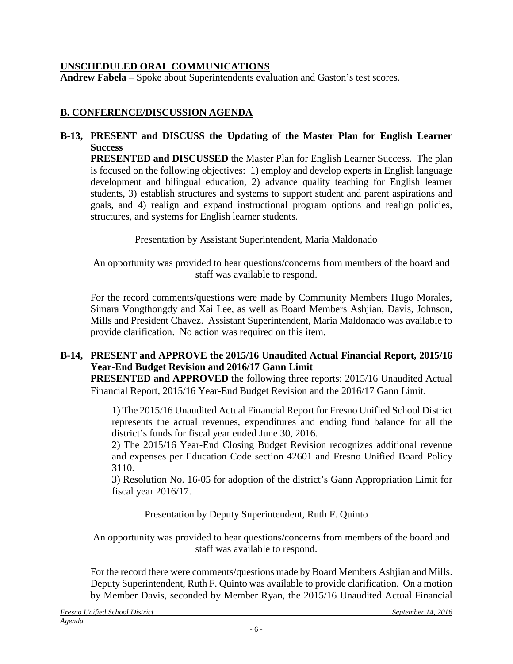## **UNSCHEDULED ORAL COMMUNICATIONS**

**Andrew Fabela** – Spoke about Superintendents evaluation and Gaston's test scores.

# **B. CONFERENCE/DISCUSSION AGENDA**

### **B-13, PRESENT and DISCUSS the Updating of the Master Plan for English Learner Success**

**PRESENTED and DISCUSSED** the Master Plan for English Learner Success. The plan is focused on the following objectives: 1) employ and develop experts in English language development and bilingual education, 2) advance quality teaching for English learner students, 3) establish structures and systems to support student and parent aspirations and goals, and 4) realign and expand instructional program options and realign policies, structures, and systems for English learner students.

Presentation by Assistant Superintendent, Maria Maldonado

An opportunity was provided to hear questions/concerns from members of the board and staff was available to respond.

For the record comments/questions were made by Community Members Hugo Morales, Simara Vongthongdy and Xai Lee, as well as Board Members Ashjian, Davis, Johnson, Mills and President Chavez. Assistant Superintendent, Maria Maldonado was available to provide clarification. No action was required on this item.

# **B-14, PRESENT and APPROVE the 2015/16 Unaudited Actual Financial Report, 2015/16 Year-End Budget Revision and 2016/17 Gann Limit**

**PRESENTED and APPROVED** the following three reports: 2015/16 Unaudited Actual Financial Report, 2015/16 Year-End Budget Revision and the 2016/17 Gann Limit.

1) The 2015/16 Unaudited Actual Financial Report for Fresno Unified School District represents the actual revenues, expenditures and ending fund balance for all the district's funds for fiscal year ended June 30, 2016.

2) The 2015/16 Year-End Closing Budget Revision recognizes additional revenue and expenses per Education Code section 42601 and Fresno Unified Board Policy 3110.

3) Resolution No. 16-05 for adoption of the district's Gann Appropriation Limit for fiscal year 2016/17.

Presentation by Deputy Superintendent, Ruth F. Quinto

An opportunity was provided to hear questions/concerns from members of the board and staff was available to respond.

For the record there were comments/questions made by Board Members Ashjian and Mills. Deputy Superintendent, Ruth F. Quinto was available to provide clarification. On a motion by Member Davis, seconded by Member Ryan, the 2015/16 Unaudited Actual Financial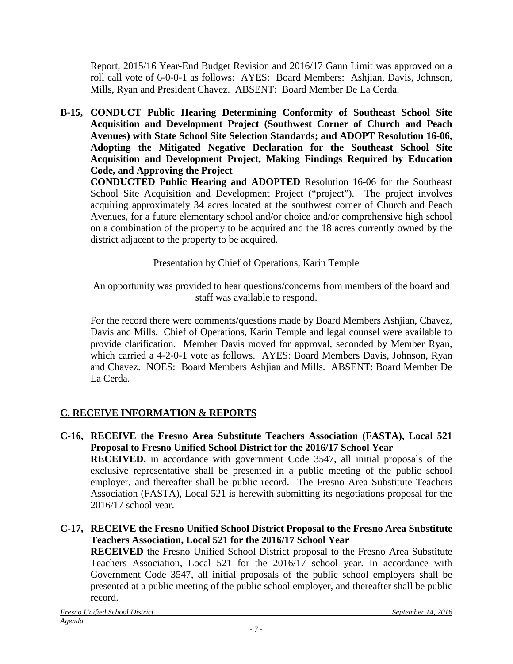Report, 2015/16 Year-End Budget Revision and 2016/17 Gann Limit was approved on a roll call vote of 6-0-0-1 as follows: AYES: Board Members: Ashjian, Davis, Johnson, Mills, Ryan and President Chavez. ABSENT: Board Member De La Cerda.

**B-15, CONDUCT Public Hearing Determining Conformity of Southeast School Site Acquisition and Development Project (Southwest Corner of Church and Peach Avenues) with State School Site Selection Standards; and ADOPT Resolution 16-06, Adopting the Mitigated Negative Declaration for the Southeast School Site Acquisition and Development Project, Making Findings Required by Education Code, and Approving the Project**

**CONDUCTED Public Hearing and ADOPTED** Resolution 16-06 for the Southeast School Site Acquisition and Development Project ("project"). The project involves acquiring approximately 34 acres located at the southwest corner of Church and Peach Avenues, for a future elementary school and/or choice and/or comprehensive high school on a combination of the property to be acquired and the 18 acres currently owned by the district adjacent to the property to be acquired.

Presentation by Chief of Operations, Karin Temple

An opportunity was provided to hear questions/concerns from members of the board and staff was available to respond.

For the record there were comments/questions made by Board Members Ashjian, Chavez, Davis and Mills. Chief of Operations, Karin Temple and legal counsel were available to provide clarification. Member Davis moved for approval, seconded by Member Ryan, which carried a 4-2-0-1 vote as follows. AYES: Board Members Davis, Johnson, Ryan and Chavez. NOES: Board Members Ashjian and Mills. ABSENT: Board Member De La Cerda.

# **C. RECEIVE INFORMATION & REPORTS**

- **C-16, RECEIVE the Fresno Area Substitute Teachers Association (FASTA), Local 521 Proposal to Fresno Unified School District for the 2016/17 School Year RECEIVED,** in accordance with government Code 3547, all initial proposals of the exclusive representative shall be presented in a public meeting of the public school employer, and thereafter shall be public record. The Fresno Area Substitute Teachers Association (FASTA), Local 521 is herewith submitting its negotiations proposal for the 2016/17 school year.
- **C-17, RECEIVE the Fresno Unified School District Proposal to the Fresno Area Substitute Teachers Association, Local 521 for the 2016/17 School Year**

**RECEIVED** the Fresno Unified School District proposal to the Fresno Area Substitute Teachers Association, Local 521 for the 2016/17 school year. In accordance with Government Code 3547, all initial proposals of the public school employers shall be presented at a public meeting of the public school employer, and thereafter shall be public record.